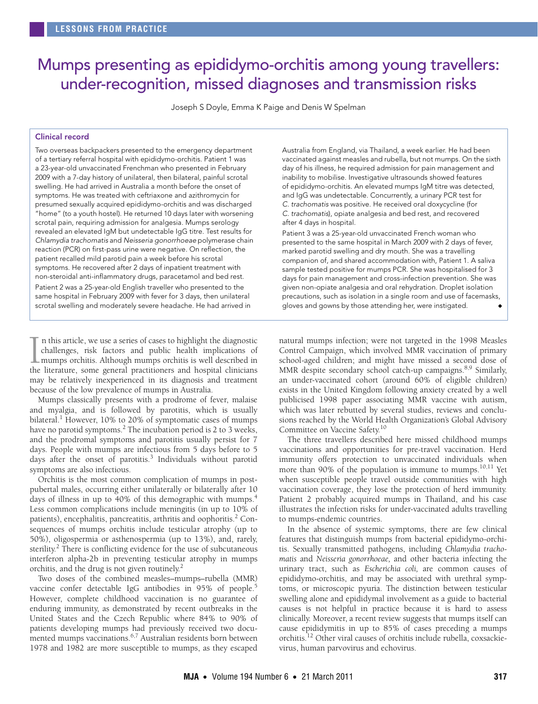# <span id="page-0-0"></span>Mumps presenting as epididymo-orchitis among young travellers: under-recognition, missed diagnoses and transmission risks

Joseph S Doyle, Emma K Paige and Denis W Spelman

## Clinical record

Two overseas backpackers presented to the emergency department of a tertiary referral hospital with epididymo-orchitis. Patient 1 was a 23-year-old unvaccinated Frenchman who presented in February 2009 with a 7-day history of unilateral, then bilateral, painful scrotal swelling. He had arrived in Australia a month before the onset of symptoms. He was treated with ceftriaxone and azithromycin for presumed sexually acquired epididymo-orchitis and was discharged "home" (to a youth hostel). He returned 10 days later with worsening scrotal pain, requiring admission for analgesia. Mumps serology revealed an elevated IgM but undetectable IgG titre. Test results for Chlamydia trachomatis and Neisseria gonorrhoeae polymerase chain reaction (PCR) on first-pass urine were negative. On reflection, the patient recalled mild parotid pain a week before his scrotal symptoms. He recovered after 2 days of inpatient treatment with non-steroidal anti-inflammatory drugs, paracetamol and bed rest. Patient 2 was a 25-year-old English traveller who presented to the same hospital in February 2009 with fever for 3 days, then unilateral scrotal swelling and moderately severe headache. He had arrived in

n this article, we use a series of cases to highlight the diagnostic challenges, risk factors and public health implications of mumps orchitis. Although mumps orchitis is well described in the literature, some general practitioners and hospital clinicians may be relatively inexperienced in its diagnosis and treatment because of the low prevalence of mumps in Australia.  $\prod_{\text{the}}$ 

Mumps classically presents with a prodrome of fever, malaise and myalgia, and is followed by parotitis, which is usually bilateral.<sup>1</sup> However, 10% to 20% of symptomatic cases of mumps have no parotid symptoms.<sup>[2](#page-1-1)</sup> The incubation period is 2 to 3 weeks, and the prodromal symptoms and parotitis usually persist for 7 days. People with mumps are infectious from 5 days before to 5 days after the onset of parotitis.<sup>[3](#page-1-2)</sup> Individuals without parotid symptoms are also infectious.

Less common complications include meningitis (in up to 10% of patients), encephal[itis,](#page-0-0) pancreatitis, [arth](#page-1-12)ritis and oophoritis.<sup>[2](#page-1-1)</sup> Consequences of mumps orchitis include testicular atrophy (up to 50%), oligospermia or asthenospermia (up to 13%), and, rarely, sterility.<sup>2</sup> There is conflicting evidence for the use of subcutaneous Orchitis is the most common complication of mumps in postpubertal males, occurring either unilaterally or bilaterally after 10 days of illness in up to [4](#page-1-3)0% of this demographic with mumps.<sup>4</sup> interferon alpha-2b in preventing testicular atrophy in mumps orchitis, and the drug is not given routinely.<sup>[2](#page-1-1)</sup>

Two doses of the combined measles–mumps–rubella (MMR) vaccine confer detectable IgG antibodies in 9[5](#page-1-4)% of people.<sup>5</sup> However, complete childhood vaccination is no guarantee of enduring immunity, as demonstrated by recent outbreaks in the United States and the Czech Republic where 84% to 90% of patients developing mumps had previously received two docu-mented mumps vaccinations.<sup>[6,](#page-1-5)[7](#page-1-6)</sup> Australian residents born between 1978 and 1982 are more susceptible to mumps, as they escaped

Australia from England, via Thailand, a week earlier. He had been vaccinated against measles and rubella, but not mumps. On the sixth day of his illness, he required admission for pain management and inability to mobilise. Investigative ultrasounds showed features of epididymo-orchitis. An elevated mumps IgM titre was detected, and IgG was undetectable. Concurrently, a urinary PCR test for C. trachomatis was positive. He received oral doxycycline (for C. trachomatis), opiate analgesia and bed rest, and recovered after 4 days in hospital.

Patient 3 was a 25-year-old unvaccinated French woman who presented to the same hospital in March 2009 with 2 days of fever, marked parotid swelling and dry mouth. She was a travelling companion of, and shared accommodation with, Patient 1. A saliva sample tested positive for mumps PCR. She was hospitalised for 3 days for pain management and cross-infection prevention. She was given non-opiate analgesia and oral rehydration. Droplet isolation precautions, such as isolation in a single room and use of facemasks, gloves and gowns by those attending her, were instigated.

natural mumps infection; were not targeted in the 1998 Measles Control Campaign, which involved MMR vaccination of primary school-aged children; and might have missed a second dose of MMR despite secondary school catch-up campaigns.<sup>[8](#page-1-7),9</sup> Similarly, an under-vaccinated cohort (around 60% of eligible children) exists in the United Kingdom following anxiety created by a well publicised 1998 paper associating MMR vaccine with autism, which was later rebutted by several studies, reviews and conclusions reached by the World Health Organization's Global Advisory Committee on Vaccine Safety.<sup>[10](#page-1-9)</sup>

The three travellers described here missed childhood mumps vaccinations and opportunities for pre-travel vaccination. Herd immunity offers protection to unvaccinated individuals when more than 90% of the population is immune to mumps.<sup>[10](#page-1-9)[,11](#page-1-10)</sup> Yet when susceptible people travel outside communities with high vaccination coverage, they lose the protection of herd immunity. Patient 2 probably acquired mumps in Thailand, and his case illustrates the infection risks for under-vaccinated adults travelling to mumps-endemic countries.

In the absence of systemic symptoms, there are few clinical features that distinguish mumps from bacterial epididymo-orchitis. Sexually transmitted pathogens, including *Chlamydia trachomatis* and *Neisseria gonorrhoeae,* and other bacteria infecting the urinary tract, such as *Escherichia coli,* are common causes of epididymo-orchitis, and may be associated with urethral symptoms, or microscopic pyuria. The distinction between testicular swelling alone and epididymal involvement as a guide to bacterial causes is not helpful in practice because it is hard to assess clinically. Moreover, a recent review suggests that mumps itself can cause epididymitis in up to 85% of cases preceding a mumps orchitis.[12](#page-1-11) Other viral causes of orchitis include rubella, coxsackievirus, human parvovirus and echovirus.